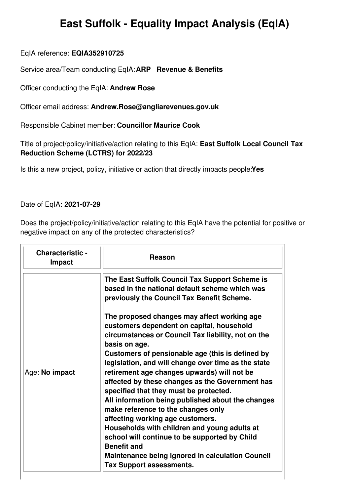## **East Suffolk - Equality Impact Analysis (EqIA)**

EqIA reference: **EQIA352910725**

Service area/Team conducting EqIA:**ARP Revenue & Benefits**

Officer conducting the EqIA: **Andrew Rose**

Officer email address: **Andrew.Rose@angliarevenues.gov.uk**

Responsible Cabinet member: **Councillor Maurice Cook**

Title of project/policy/initiative/action relating to this EqIA: **East Suffolk Local Council Tax Reduction Scheme (LCTRS) for 2022/23**

Is this a new project, policy, initiative or action that directly impacts people:**Yes**

## Date of EqIA: **2021-07-29**

Does the project/policy/initiative/action relating to this EqIA have the potential for positive or negative impact on any of the protected characteristics?

| <b>Characteristic -</b><br><b>Impact</b> | <b>Reason</b>                                                                                                                                                                                                                                                                                                                                                                                                                                                                                                                                                                                                                                                                                                                                                                                                                                                                                                                |
|------------------------------------------|------------------------------------------------------------------------------------------------------------------------------------------------------------------------------------------------------------------------------------------------------------------------------------------------------------------------------------------------------------------------------------------------------------------------------------------------------------------------------------------------------------------------------------------------------------------------------------------------------------------------------------------------------------------------------------------------------------------------------------------------------------------------------------------------------------------------------------------------------------------------------------------------------------------------------|
| Age: No impact                           | The East Suffolk Council Tax Support Scheme is<br>based in the national default scheme which was<br>previously the Council Tax Benefit Scheme.<br>The proposed changes may affect working age<br>customers dependent on capital, household<br>circumstances or Council Tax liability, not on the<br>basis on age.<br>Customers of pensionable age (this is defined by<br>legislation, and will change over time as the state<br>retirement age changes upwards) will not be<br>affected by these changes as the Government has<br>specified that they must be protected.<br>All information being published about the changes<br>make reference to the changes only<br>affecting working age customers.<br>Households with children and young adults at<br>school will continue to be supported by Child<br><b>Benefit and</b><br><b>Maintenance being ignored in calculation Council</b><br><b>Tax Support assessments.</b> |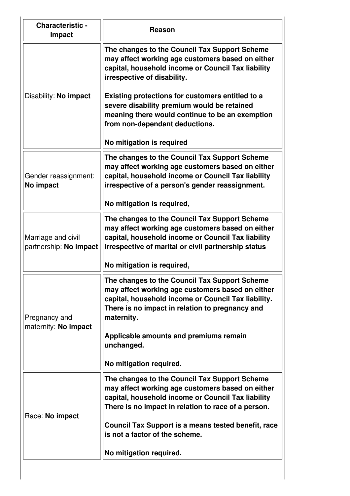| <b>Characteristic -</b><br><b>Impact</b>     | Reason                                                                                                                                                                                                                                                                                                                                                                                                      |
|----------------------------------------------|-------------------------------------------------------------------------------------------------------------------------------------------------------------------------------------------------------------------------------------------------------------------------------------------------------------------------------------------------------------------------------------------------------------|
| Disability: No impact                        | The changes to the Council Tax Support Scheme<br>may affect working age customers based on either<br>capital, household income or Council Tax liability<br>irrespective of disability.<br>Existing protections for customers entitled to a<br>severe disability premium would be retained<br>meaning there would continue to be an exemption<br>from non-dependant deductions.<br>No mitigation is required |
| Gender reassignment:<br>No impact            | The changes to the Council Tax Support Scheme<br>may affect working age customers based on either<br>capital, household income or Council Tax liability<br>irrespective of a person's gender reassignment.<br>No mitigation is required,                                                                                                                                                                    |
| Marriage and civil<br>partnership: No impact | The changes to the Council Tax Support Scheme<br>may affect working age customers based on either<br>capital, household income or Council Tax liability<br>irrespective of marital or civil partnership status<br>No mitigation is required,                                                                                                                                                                |
| Pregnancy and<br>maternity: No impact        | The changes to the Council Tax Support Scheme<br>may affect working age customers based on either<br>capital, household income or Council Tax liability.<br>There is no impact in relation to pregnancy and<br>maternity.<br>Applicable amounts and premiums remain<br>unchanged.<br>No mitigation required.                                                                                                |
| Race: No impact                              | The changes to the Council Tax Support Scheme<br>may affect working age customers based on either<br>capital, household income or Council Tax liability<br>There is no impact in relation to race of a person.<br>Council Tax Support is a means tested benefit, race<br>is not a factor of the scheme.<br>No mitigation required.                                                                          |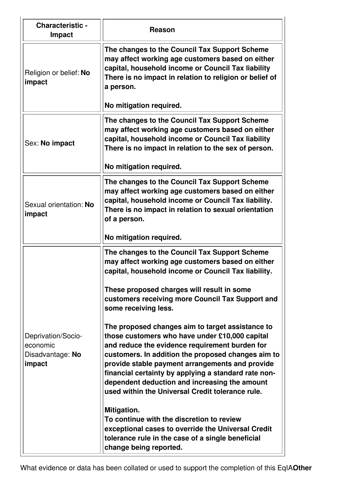| <b>Characteristic -</b><br><b>Impact</b>                     | Reason                                                                                                                                                                                                                                                                                                                                                                                                                     |
|--------------------------------------------------------------|----------------------------------------------------------------------------------------------------------------------------------------------------------------------------------------------------------------------------------------------------------------------------------------------------------------------------------------------------------------------------------------------------------------------------|
| Religion or belief: No<br>impact                             | The changes to the Council Tax Support Scheme<br>may affect working age customers based on either<br>capital, household income or Council Tax liability<br>There is no impact in relation to religion or belief of<br>a person.                                                                                                                                                                                            |
|                                                              | No mitigation required.                                                                                                                                                                                                                                                                                                                                                                                                    |
| Sex: No impact                                               | The changes to the Council Tax Support Scheme<br>may affect working age customers based on either<br>capital, household income or Council Tax liability<br>There is no impact in relation to the sex of person.<br>No mitigation required.                                                                                                                                                                                 |
|                                                              | The changes to the Council Tax Support Scheme                                                                                                                                                                                                                                                                                                                                                                              |
| Sexual orientation: No<br>impact                             | may affect working age customers based on either<br>capital, household income or Council Tax liability.<br>There is no impact in relation to sexual orientation<br>of a person.                                                                                                                                                                                                                                            |
|                                                              | No mitigation required.                                                                                                                                                                                                                                                                                                                                                                                                    |
| Deprivation/Socio-<br>economic<br>Disadvantage: No<br>impact | The changes to the Council Tax Support Scheme<br>may affect working age customers based on either<br>capital, household income or Council Tax liability.                                                                                                                                                                                                                                                                   |
|                                                              | These proposed charges will result in some<br>customers receiving more Council Tax Support and<br>some receiving less.                                                                                                                                                                                                                                                                                                     |
|                                                              | The proposed changes aim to target assistance to<br>those customers who have under £10,000 capital<br>and reduce the evidence requirement burden for<br>customers. In addition the proposed changes aim to<br>provide stable payment arrangements and provide<br>financial certainty by applying a standard rate non-<br>dependent deduction and increasing the amount<br>used within the Universal Credit tolerance rule. |
|                                                              | Mitigation.<br>To continue with the discretion to review<br>exceptional cases to override the Universal Credit<br>tolerance rule in the case of a single beneficial<br>change being reported.                                                                                                                                                                                                                              |